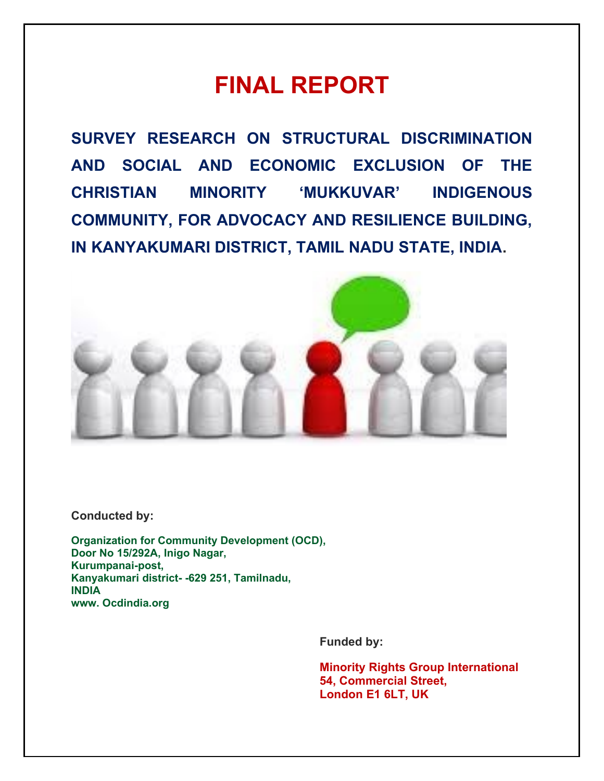# **FINAL REPORT**

**SURVEY RESEARCH ON STRUCTURAL DISCRIMINATION AND SOCIAL AND ECONOMIC EXCLUSION OF THE CHRISTIAN MINORITY 'MUKKUVAR' INDIGENOUS COMMUNITY, FOR ADVOCACY AND RESILIENCE BUILDING, IN KANYAKUMARI DISTRICT, TAMIL NADU STATE, INDIA.** 



**Conducted by:**

**Organization for Community Development (OCD), Door No 15/292A, Inigo Nagar, Kurumpanai-post, Kanyakumari district- -629 251, Tamilnadu, INDIA www. Ocdindia.org**

**Funded by:**

**Minority Rights Group International 54, Commercial Street, London E1 6LT, UK**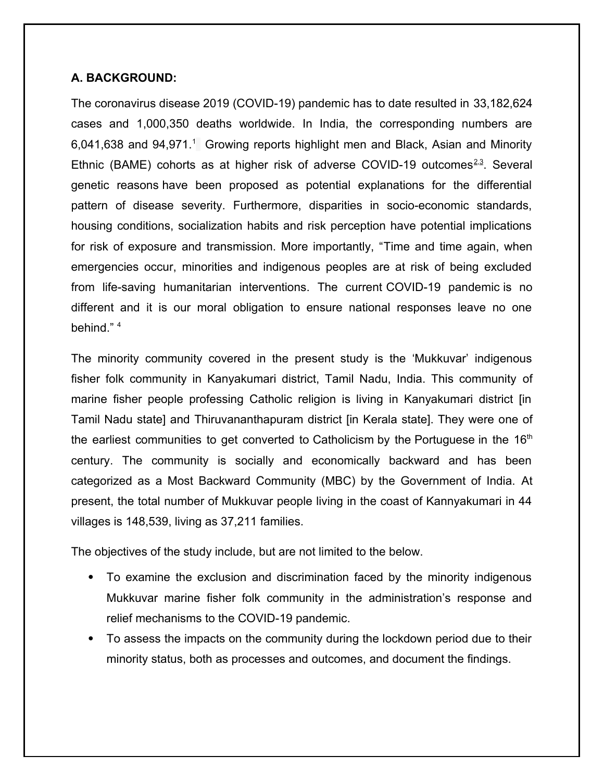## **A. BACKGROUND:**

The coronavirus disease 2019 (COVID-19) pandemic has to date resulted in 33,182,624 cases and 1,000,350 deaths worldwide. In India, the corresponding numbers are 6,041,638 and 94,971.<sup>1</sup> Growing reports highlight men and Black, Asian and Minority Ethnic (BAME) cohorts as at higher risk of adverse COVID-19 outcomes $2.3$ . Several genetic reasons have been proposed as potential explanations for the differential pattern of disease severity. Furthermore, disparities in socio-economic standards, housing conditions, socialization habits and risk perception have potential implications for risk of exposure and transmission. More importantly, "Time and time again, when emergencies occur, minorities and indigenous peoples are at risk of being excluded from life-saving humanitarian interventions. The current COVID-19 pandemic is no different and it is our moral obligation to ensure national responses leave no one behind." <sup>4</sup>

The minority community covered in the present study is the 'Mukkuvar' indigenous fisher folk community in Kanyakumari district, Tamil Nadu, India. This community of marine fisher people professing Catholic religion is living in Kanyakumari district [in Tamil Nadu state] and Thiruvananthapuram district [in Kerala state]. They were one of the earliest communities to get converted to Catholicism by the Portuguese in the  $16<sup>th</sup>$ century. The community is socially and economically backward and has been categorized as a Most Backward Community (MBC) by the Government of India. At present, the total number of Mukkuvar people living in the coast of Kannyakumari in 44 villages is 148,539, living as 37,211 families.

The objectives of the study include, but are not limited to the below.

- To examine the exclusion and discrimination faced by the minority indigenous Mukkuvar marine fisher folk community in the administration's response and relief mechanisms to the COVID-19 pandemic.
- To assess the impacts on the community during the lockdown period due to their minority status, both as processes and outcomes, and document the findings.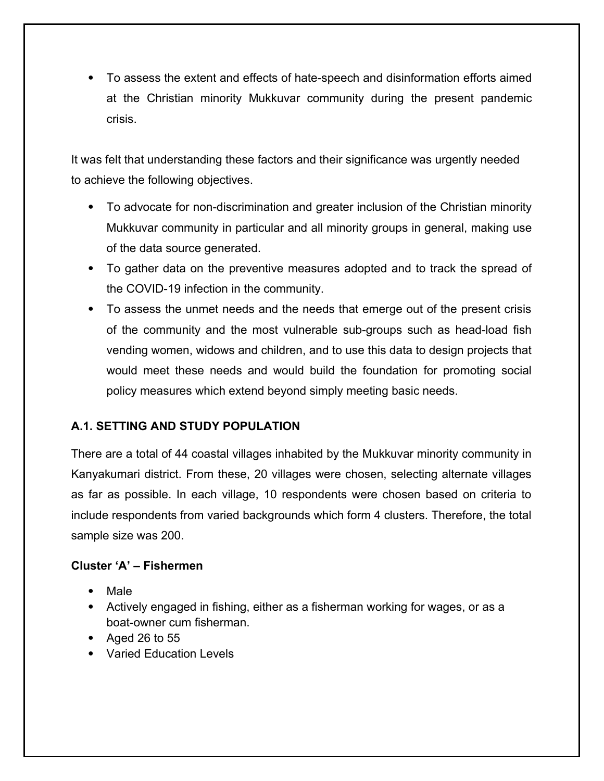To assess the extent and effects of hate-speech and disinformation efforts aimed at the Christian minority Mukkuvar community during the present pandemic crisis.

It was felt that understanding these factors and their significance was urgently needed to achieve the following objectives.

- To advocate for non-discrimination and greater inclusion of the Christian minority Mukkuvar community in particular and all minority groups in general, making use of the data source generated.
- To gather data on the preventive measures adopted and to track the spread of the COVID-19 infection in the community.
- To assess the unmet needs and the needs that emerge out of the present crisis of the community and the most vulnerable sub-groups such as head-load fish vending women, widows and children, and to use this data to design projects that would meet these needs and would build the foundation for promoting social policy measures which extend beyond simply meeting basic needs.

# **A.1. SETTING AND STUDY POPULATION**

There are a total of 44 coastal villages inhabited by the Mukkuvar minority community in Kanyakumari district. From these, 20 villages were chosen, selecting alternate villages as far as possible. In each village, 10 respondents were chosen based on criteria to include respondents from varied backgrounds which form 4 clusters. Therefore, the total sample size was 200.

## **Cluster 'A' – Fishermen**

- Male
- Actively engaged in fishing, either as a fisherman working for wages, or as a boat-owner cum fisherman.
- Aged 26 to 55
- Varied Education Levels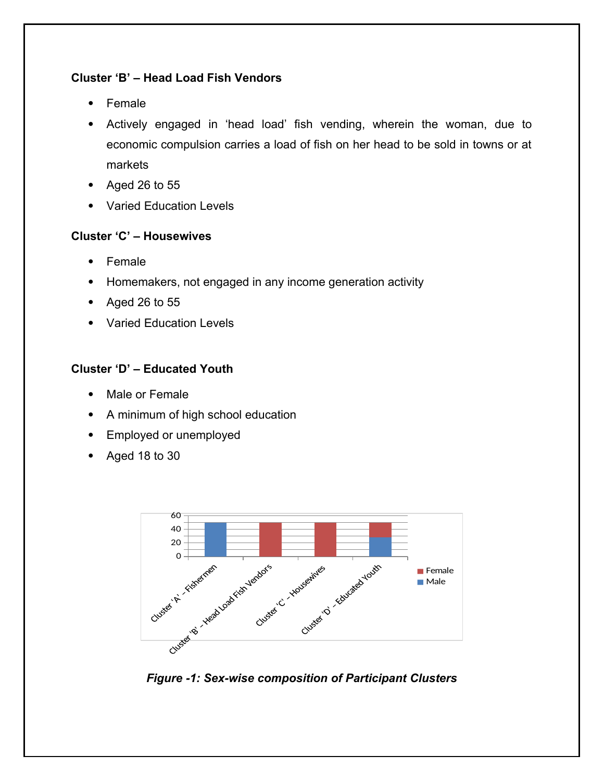# **Cluster 'B' – Head Load Fish Vendors**

- Female
- Actively engaged in 'head load' fish vending, wherein the woman, due to economic compulsion carries a load of fish on her head to be sold in towns or at markets
- Aged 26 to 55
- Varied Education Levels

## **Cluster 'C' – Housewives**

- Female
- Homemakers, not engaged in any income generation activity
- Aged 26 to 55
- Varied Education Levels

# **Cluster 'D' – Educated Youth**

- Male or Female
- A minimum of high school education
- Employed or unemployed
- Aged 18 to 30



*Figure -1: Sex-wise composition of Participant Clusters*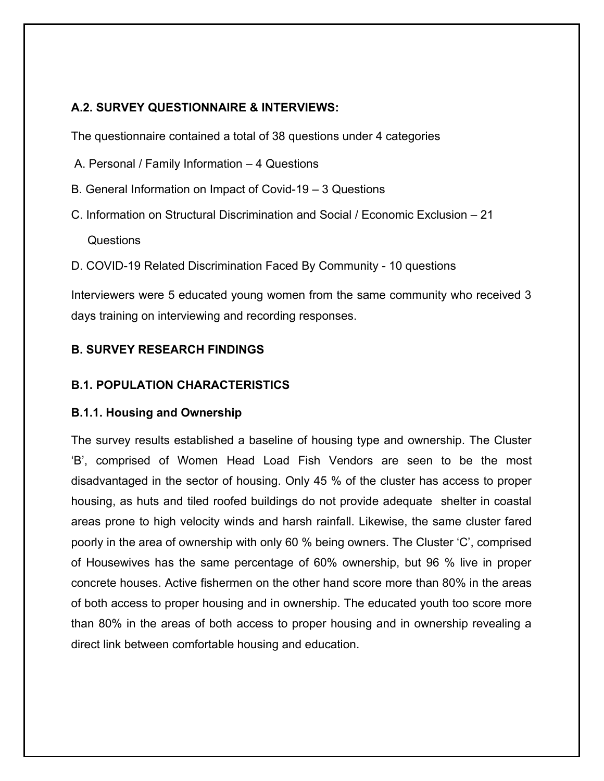# **A.2. SURVEY QUESTIONNAIRE & INTERVIEWS:**

The questionnaire contained a total of 38 questions under 4 categories

- A. Personal / Family Information 4 Questions
- B. General Information on Impact of Covid-19 3 Questions
- C. Information on Structural Discrimination and Social / Economic Exclusion 21 Questions
- D. COVID-19 Related Discrimination Faced By Community 10 questions

Interviewers were 5 educated young women from the same community who received 3 days training on interviewing and recording responses.

# **B. SURVEY RESEARCH FINDINGS**

## **B.1. POPULATION CHARACTERISTICS**

### **B.1.1. Housing and Ownership**

The survey results established a baseline of housing type and ownership. The Cluster 'B', comprised of Women Head Load Fish Vendors are seen to be the most disadvantaged in the sector of housing. Only 45 % of the cluster has access to proper housing, as huts and tiled roofed buildings do not provide adequate shelter in coastal areas prone to high velocity winds and harsh rainfall. Likewise, the same cluster fared poorly in the area of ownership with only 60 % being owners. The Cluster 'C', comprised of Housewives has the same percentage of 60% ownership, but 96 % live in proper concrete houses. Active fishermen on the other hand score more than 80% in the areas of both access to proper housing and in ownership. The educated youth too score more than 80% in the areas of both access to proper housing and in ownership revealing a direct link between comfortable housing and education.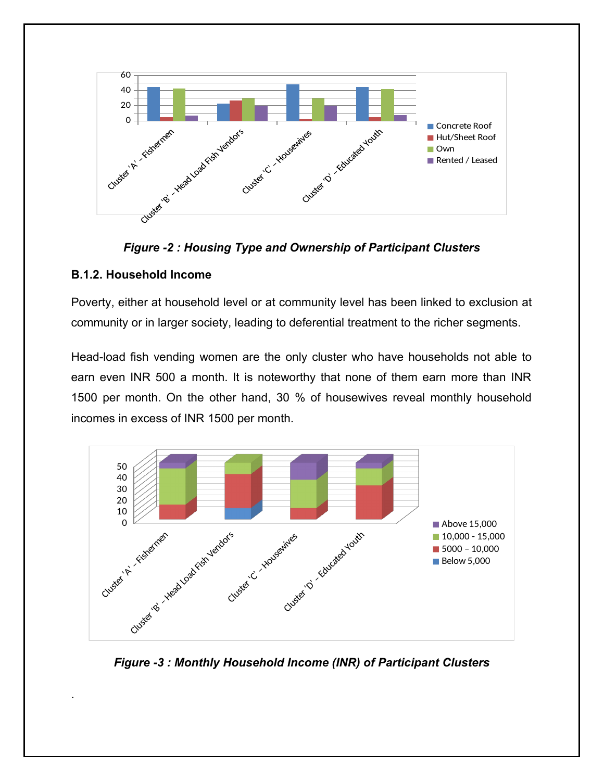



## **B.1.2. Household Income**

.

Poverty, either at household level or at community level has been linked to exclusion at community or in larger society, leading to deferential treatment to the richer segments.

Head-load fish vending women are the only cluster who have households not able to earn even INR 500 a month. It is noteworthy that none of them earn more than INR 1500 per month. On the other hand, 30 % of housewives reveal monthly household incomes in excess of INR 1500 per month.



*Figure -3 : Monthly Household Income (INR) of Participant Clusters*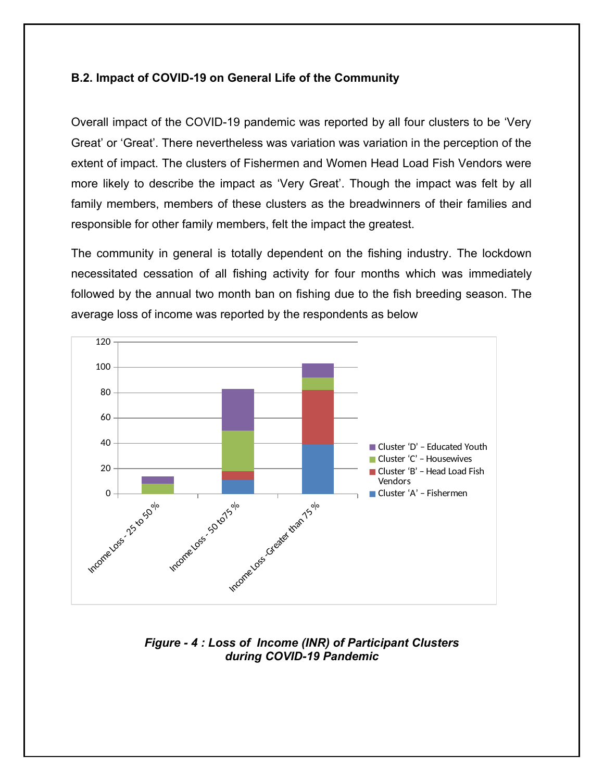### **B.2. Impact of COVID-19 on General Life of the Community**

Overall impact of the COVID-19 pandemic was reported by all four clusters to be 'Very Great' or 'Great'. There nevertheless was variation was variation in the perception of the extent of impact. The clusters of Fishermen and Women Head Load Fish Vendors were more likely to describe the impact as 'Very Great'. Though the impact was felt by all family members, members of these clusters as the breadwinners of their families and responsible for other family members, felt the impact the greatest.

The community in general is totally dependent on the fishing industry. The lockdown necessitated cessation of all fishing activity for four months which was immediately followed by the annual two month ban on fishing due to the fish breeding season. The average loss of income was reported by the respondents as below



*Figure - 4 : Loss of Income (INR) of Participant Clusters during COVID-19 Pandemic*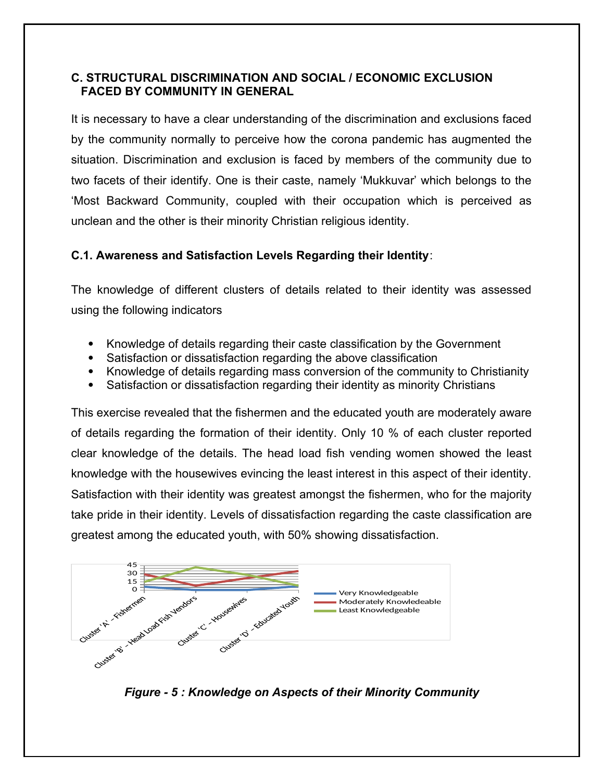## **C. STRUCTURAL DISCRIMINATION AND SOCIAL / ECONOMIC EXCLUSION FACED BY COMMUNITY IN GENERAL**

It is necessary to have a clear understanding of the discrimination and exclusions faced by the community normally to perceive how the corona pandemic has augmented the situation. Discrimination and exclusion is faced by members of the community due to two facets of their identify. One is their caste, namely 'Mukkuvar' which belongs to the 'Most Backward Community, coupled with their occupation which is perceived as unclean and the other is their minority Christian religious identity.

# **C.1. Awareness and Satisfaction Levels Regarding their Identity**:

The knowledge of different clusters of details related to their identity was assessed using the following indicators

- Knowledge of details regarding their caste classification by the Government
- Satisfaction or dissatisfaction regarding the above classification
- Knowledge of details regarding mass conversion of the community to Christianity
- Satisfaction or dissatisfaction regarding their identity as minority Christians

This exercise revealed that the fishermen and the educated youth are moderately aware of details regarding the formation of their identity. Only 10 % of each cluster reported clear knowledge of the details. The head load fish vending women showed the least knowledge with the housewives evincing the least interest in this aspect of their identity. Satisfaction with their identity was greatest amongst the fishermen, who for the majority take pride in their identity. Levels of dissatisfaction regarding the caste classification are greatest among the educated youth, with 50% showing dissatisfaction.



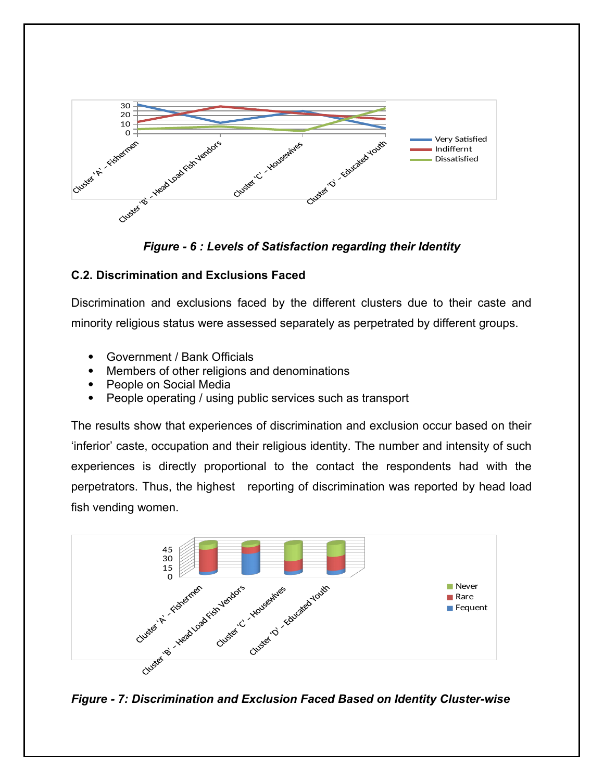

*Figure - 6 : Levels of Satisfaction regarding their Identity*

# **C.2. Discrimination and Exclusions Faced**

Discrimination and exclusions faced by the different clusters due to their caste and minority religious status were assessed separately as perpetrated by different groups.

- Government / Bank Officials
- Members of other religions and denominations
- People on Social Media
- People operating / using public services such as transport

The results show that experiences of discrimination and exclusion occur based on their 'inferior' caste, occupation and their religious identity. The number and intensity of such experiences is directly proportional to the contact the respondents had with the perpetrators. Thus, the highest reporting of discrimination was reported by head load fish vending women.



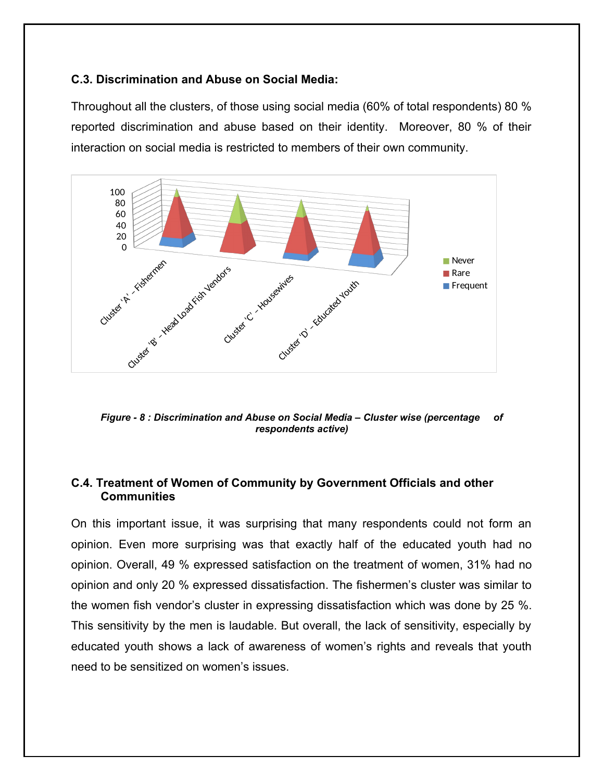#### **C.3. Discrimination and Abuse on Social Media:**

Throughout all the clusters, of those using social media (60% of total respondents) 80 % reported discrimination and abuse based on their identity. Moreover, 80 % of their interaction on social media is restricted to members of their own community.



*Figure - 8 : Discrimination and Abuse on Social Media – Cluster wise (percentage of respondents active)*

## **C.4. Treatment of Women of Community by Government Officials and other Communities**

On this important issue, it was surprising that many respondents could not form an opinion. Even more surprising was that exactly half of the educated youth had no opinion. Overall, 49 % expressed satisfaction on the treatment of women, 31% had no opinion and only 20 % expressed dissatisfaction. The fishermen's cluster was similar to the women fish vendor's cluster in expressing dissatisfaction which was done by 25 %. This sensitivity by the men is laudable. But overall, the lack of sensitivity, especially by educated youth shows a lack of awareness of women's rights and reveals that youth need to be sensitized on women's issues.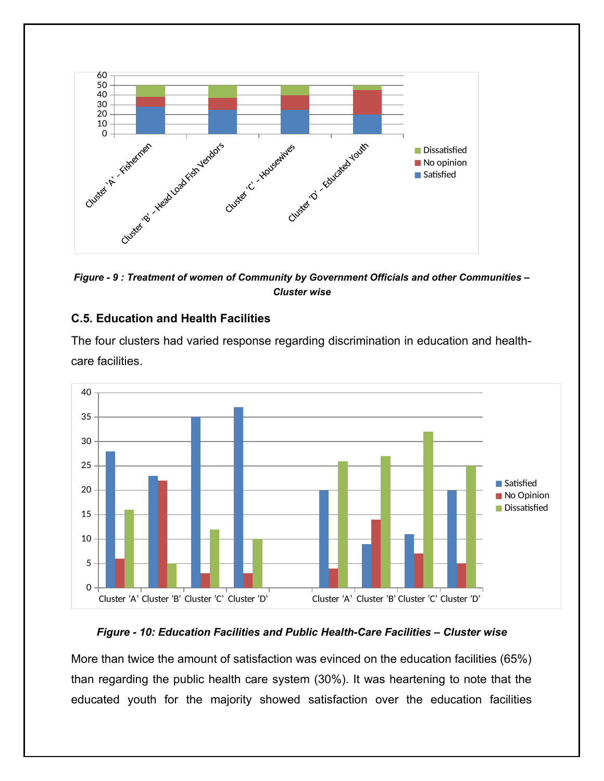

*Figure - 9 : Treatment of women of Community by Government Officials and other Communities – Cluster wise*

#### **C.5. Education and Health Facilities**

The four clusters had varied response regarding discrimination in education and healthcare facilities.



#### *Figure - 10: Education Facilities and Public Health-Care Facilities – Cluster wise*

More than twice the amount of satisfaction was evinced on the education facilities (65%) than regarding the public health care system (30%). It was heartening to note that the educated youth for the majority showed satisfaction over the education facilities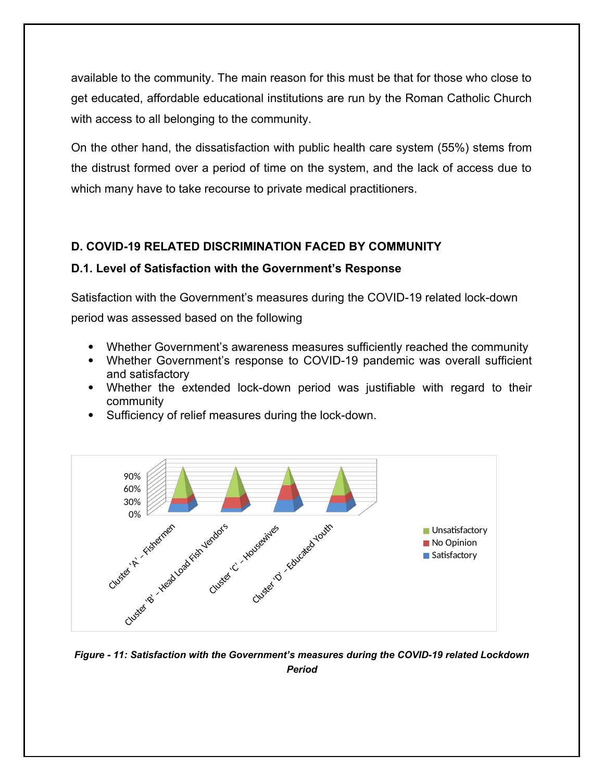available to the community. The main reason for this must be that for those who close to get educated, affordable educational institutions are run by the Roman Catholic Church with access to all belonging to the community.

On the other hand, the dissatisfaction with public health care system (55%) stems from the distrust formed over a period of time on the system, and the lack of access due to which many have to take recourse to private medical practitioners.

# **D. COVID-19 RELATED DISCRIMINATION FACED BY COMMUNITY**

## **D.1. Level of Satisfaction with the Government's Response**

Satisfaction with the Government's measures during the COVID-19 related lock-down period was assessed based on the following

- Whether Government's awareness measures sufficiently reached the community
- Whether Government's response to COVID-19 pandemic was overall sufficient and satisfactory
- Whether the extended lock-down period was justifiable with regard to their community
- Sufficiency of relief measures during the lock-down.



*Figure - 11: Satisfaction with the Government's measures during the COVID-19 related Lockdown Period*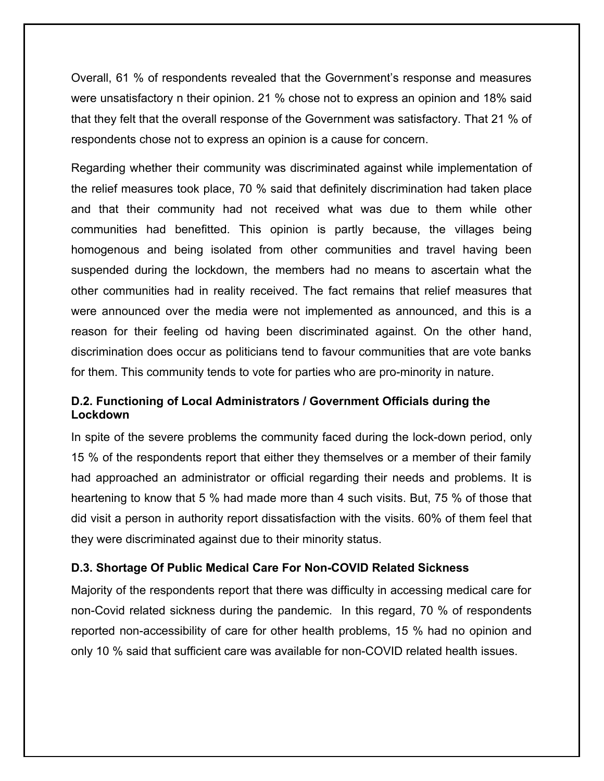Overall, 61 % of respondents revealed that the Government's response and measures were unsatisfactory n their opinion. 21 % chose not to express an opinion and 18% said that they felt that the overall response of the Government was satisfactory. That 21 % of respondents chose not to express an opinion is a cause for concern.

Regarding whether their community was discriminated against while implementation of the relief measures took place, 70 % said that definitely discrimination had taken place and that their community had not received what was due to them while other communities had benefitted. This opinion is partly because, the villages being homogenous and being isolated from other communities and travel having been suspended during the lockdown, the members had no means to ascertain what the other communities had in reality received. The fact remains that relief measures that were announced over the media were not implemented as announced, and this is a reason for their feeling od having been discriminated against. On the other hand, discrimination does occur as politicians tend to favour communities that are vote banks for them. This community tends to vote for parties who are pro-minority in nature.

## **D.2. Functioning of Local Administrators / Government Officials during the Lockdown**

In spite of the severe problems the community faced during the lock-down period, only 15 % of the respondents report that either they themselves or a member of their family had approached an administrator or official regarding their needs and problems. It is heartening to know that 5 % had made more than 4 such visits. But, 75 % of those that did visit a person in authority report dissatisfaction with the visits. 60% of them feel that they were discriminated against due to their minority status.

#### **D.3. Shortage Of Public Medical Care For Non-COVID Related Sickness**

Majority of the respondents report that there was difficulty in accessing medical care for non-Covid related sickness during the pandemic. In this regard, 70 % of respondents reported non-accessibility of care for other health problems, 15 % had no opinion and only 10 % said that sufficient care was available for non-COVID related health issues.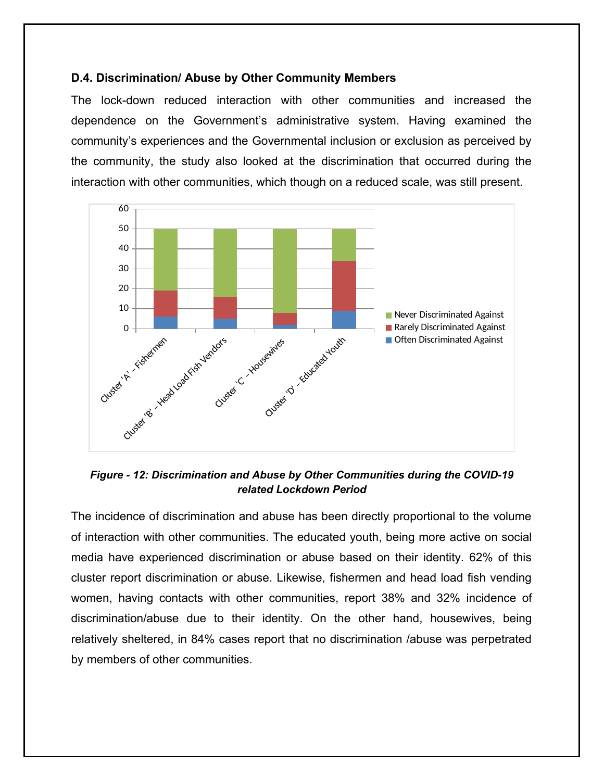### **D.4. Discrimination/ Abuse by Other Community Members**

The lock-down reduced interaction with other communities and increased the dependence on the Government's administrative system. Having examined the community's experiences and the Governmental inclusion or exclusion as perceived by the community, the study also looked at the discrimination that occurred during the interaction with other communities, which though on a reduced scale, was still present.



*Figure - 12: Discrimination and Abuse by Other Communities during the COVID-19 related Lockdown Period*

The incidence of discrimination and abuse has been directly proportional to the volume of interaction with other communities. The educated youth, being more active on social media have experienced discrimination or abuse based on their identity. 62% of this cluster report discrimination or abuse. Likewise, fishermen and head load fish vending women, having contacts with other communities, report 38% and 32% incidence of discrimination/abuse due to their identity. On the other hand, housewives, being relatively sheltered, in 84% cases report that no discrimination /abuse was perpetrated by members of other communities.